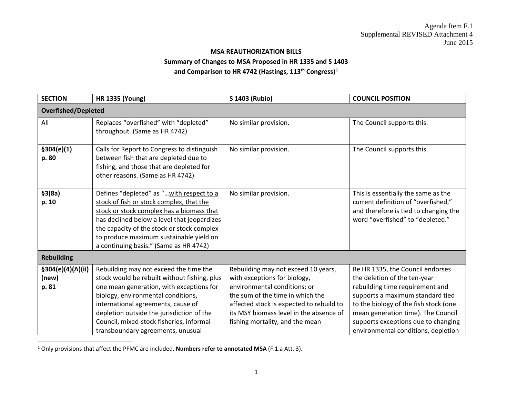## <span id="page-0-0"></span>**MSA REAUTHORIZATION BILLS Summary of Changes to MSA Proposed in HR 1335 and S 1403 and Comparison to HR 4742 (Hastings, 113th Congress)[1](#page-0-0)**

| <b>SECTION</b>                      | <b>HR 1335 (Young)</b>                                                                                                                                                                                                                                                                                               | S 1403 (Rubio)                                                                                                                                                                                                                                                    | <b>COUNCIL POSITION</b>                                                                                                                                                                                                                                       |
|-------------------------------------|----------------------------------------------------------------------------------------------------------------------------------------------------------------------------------------------------------------------------------------------------------------------------------------------------------------------|-------------------------------------------------------------------------------------------------------------------------------------------------------------------------------------------------------------------------------------------------------------------|---------------------------------------------------------------------------------------------------------------------------------------------------------------------------------------------------------------------------------------------------------------|
| <b>Overfished/Depleted</b>          |                                                                                                                                                                                                                                                                                                                      |                                                                                                                                                                                                                                                                   |                                                                                                                                                                                                                                                               |
| All                                 | Replaces "overfished" with "depleted"<br>throughout. (Same as HR 4742)                                                                                                                                                                                                                                               | No similar provision.                                                                                                                                                                                                                                             | The Council supports this.                                                                                                                                                                                                                                    |
| \$304(e)(1)<br>p. 80                | Calls for Report to Congress to distinguish<br>between fish that are depleted due to<br>fishing, and those that are depleted for<br>other reasons. (Same as HR 4742)                                                                                                                                                 | No similar provision.                                                                                                                                                                                                                                             | The Council supports this.                                                                                                                                                                                                                                    |
| \$3(8a)<br>p. 10                    | Defines "depleted" as " with respect to a<br>stock of fish or stock complex, that the<br>stock or stock complex has a biomass that<br>has declined below a level that jeopardizes<br>the capacity of the stock or stock complex<br>to produce maximum sustainable yield on<br>a continuing basis." (Same as HR 4742) | No similar provision.                                                                                                                                                                                                                                             | This is essentially the same as the<br>current definition of "overfished,"<br>and therefore is tied to changing the<br>word "overfished" to "depleted."                                                                                                       |
| <b>Rebuilding</b>                   |                                                                                                                                                                                                                                                                                                                      |                                                                                                                                                                                                                                                                   |                                                                                                                                                                                                                                                               |
| §304(e)(4)(A)(ii)<br>(new)<br>p. 81 | Rebuilding may not exceed the time the<br>stock would be rebuilt without fishing, plus<br>one mean generation, with exceptions for<br>biology, environmental conditions,<br>international agreements, cause of<br>depletion outside the jurisdiction of the<br>Council, mixed-stock fisheries, informal              | Rebuilding may not exceed 10 years,<br>with exceptions for biology,<br>environmental conditions; or<br>the sum of the time in which the<br>affected stock is expected to rebuild to<br>its MSY biomass level in the absence of<br>fishing mortality, and the mean | Re HR 1335, the Council endorses<br>the deletion of the ten-year<br>rebuilding time requirement and<br>supports a maximum standard tied<br>to the biology of the fish stock (one<br>mean generation time). The Council<br>supports exceptions due to changing |
|                                     | transboundary agreements, unusual                                                                                                                                                                                                                                                                                    |                                                                                                                                                                                                                                                                   | environmental conditions, depletion                                                                                                                                                                                                                           |

<sup>1</sup> Only provisions that affect the PFMC are included. **Numbers refer to annotated MSA** (F.1.a Att. 3).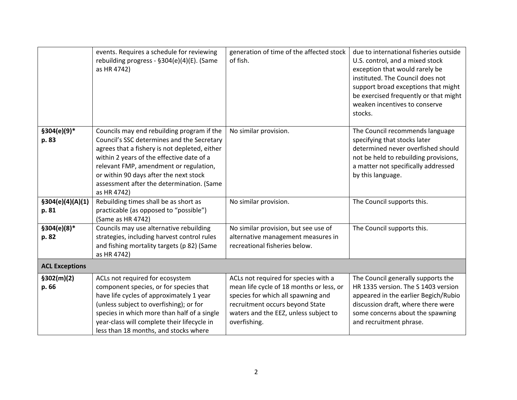|                            | events. Requires a schedule for reviewing<br>rebuilding progress - §304(e)(4)(E). (Same<br>as HR 4742)                                                                                                                                                                                                                                 | generation of time of the affected stock<br>of fish.                                                                                                                                                               | due to international fisheries outside<br>U.S. control, and a mixed stock<br>exception that would rarely be<br>instituted. The Council does not<br>support broad exceptions that might<br>be exercised frequently or that might<br>weaken incentives to conserve<br>stocks. |
|----------------------------|----------------------------------------------------------------------------------------------------------------------------------------------------------------------------------------------------------------------------------------------------------------------------------------------------------------------------------------|--------------------------------------------------------------------------------------------------------------------------------------------------------------------------------------------------------------------|-----------------------------------------------------------------------------------------------------------------------------------------------------------------------------------------------------------------------------------------------------------------------------|
| §304(e)(9)*<br>p. 83       | Councils may end rebuilding program if the<br>Council's SSC determines and the Secretary<br>agrees that a fishery is not depleted, either<br>within 2 years of the effective date of a<br>relevant FMP, amendment or regulation,<br>or within 90 days after the next stock<br>assessment after the determination. (Same<br>as HR 4742) | No similar provision.                                                                                                                                                                                              | The Council recommends language<br>specifying that stocks later<br>determined never overfished should<br>not be held to rebuilding provisions,<br>a matter not specifically addressed<br>by this language.                                                                  |
| \$304(e)(4)(A)(1)<br>p. 81 | Rebuilding times shall be as short as<br>practicable (as opposed to "possible")<br>(Same as HR 4742)                                                                                                                                                                                                                                   | No similar provision.                                                                                                                                                                                              | The Council supports this.                                                                                                                                                                                                                                                  |
| §304(e)(8)*<br>p. 82       | Councils may use alternative rebuilding<br>strategies, including harvest control rules<br>and fishing mortality targets (p 82) (Same<br>as HR 4742)                                                                                                                                                                                    | No similar provision, but see use of<br>alternative management measures in<br>recreational fisheries below.                                                                                                        | The Council supports this.                                                                                                                                                                                                                                                  |
| <b>ACL Exceptions</b>      |                                                                                                                                                                                                                                                                                                                                        |                                                                                                                                                                                                                    |                                                                                                                                                                                                                                                                             |
| \$302(m)(2)<br>p. 66       | ACLs not required for ecosystem<br>component species, or for species that<br>have life cycles of approximately 1 year<br>(unless subject to overfishing); or for<br>species in which more than half of a single<br>year-class will complete their lifecycle in<br>less than 18 months, and stocks where                                | ACLs not required for species with a<br>mean life cycle of 18 months or less, or<br>species for which all spawning and<br>recruitment occurs beyond State<br>waters and the EEZ, unless subject to<br>overfishing. | The Council generally supports the<br>HR 1335 version. The S 1403 version<br>appeared in the earlier Begich/Rubio<br>discussion draft, where there were<br>some concerns about the spawning<br>and recruitment phrase.                                                      |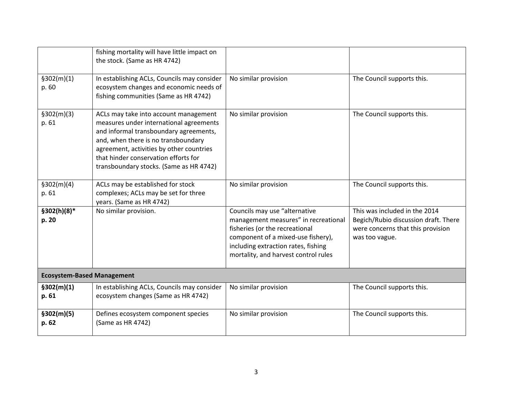|                                   | fishing mortality will have little impact on<br>the stock. (Same as HR 4742)                                                                                                                                                                                                                     |                                                                                                                                                                                                                              |                                                                                                                              |
|-----------------------------------|--------------------------------------------------------------------------------------------------------------------------------------------------------------------------------------------------------------------------------------------------------------------------------------------------|------------------------------------------------------------------------------------------------------------------------------------------------------------------------------------------------------------------------------|------------------------------------------------------------------------------------------------------------------------------|
| \$302(m)(1)<br>p. 60              | In establishing ACLs, Councils may consider<br>ecosystem changes and economic needs of<br>fishing communities (Same as HR 4742)                                                                                                                                                                  | No similar provision                                                                                                                                                                                                         | The Council supports this.                                                                                                   |
| \$302(m)(3)<br>p. 61              | ACLs may take into account management<br>measures under international agreements<br>and informal transboundary agreements,<br>and, when there is no transboundary<br>agreement, activities by other countries<br>that hinder conservation efforts for<br>transboundary stocks. (Same as HR 4742) | No similar provision                                                                                                                                                                                                         | The Council supports this.                                                                                                   |
| \$302(m)(4)<br>p. 61              | ACLs may be established for stock<br>complexes; ACLs may be set for three<br>years. (Same as HR 4742)                                                                                                                                                                                            | No similar provision                                                                                                                                                                                                         | The Council supports this.                                                                                                   |
| §302(h)(8)*<br>p. 20              | No similar provision.                                                                                                                                                                                                                                                                            | Councils may use "alternative<br>management measures" in recreational<br>fisheries (or the recreational<br>component of a mixed-use fishery),<br>including extraction rates, fishing<br>mortality, and harvest control rules | This was included in the 2014<br>Begich/Rubio discussion draft. There<br>were concerns that this provision<br>was too vague. |
| <b>Ecosystem-Based Management</b> |                                                                                                                                                                                                                                                                                                  |                                                                                                                                                                                                                              |                                                                                                                              |
| \$302(m)(1)<br>p. 61              | In establishing ACLs, Councils may consider<br>ecosystem changes (Same as HR 4742)                                                                                                                                                                                                               | No similar provision                                                                                                                                                                                                         | The Council supports this.                                                                                                   |
| \$302(m)(5)<br>p. 62              | Defines ecosystem component species<br>(Same as HR 4742)                                                                                                                                                                                                                                         | No similar provision                                                                                                                                                                                                         | The Council supports this.                                                                                                   |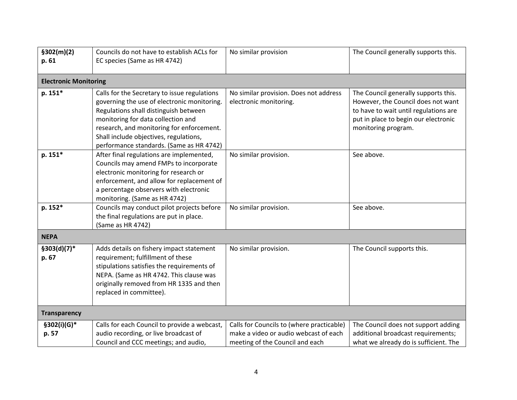| \$302(m)(2)<br>p. 61         | Councils do not have to establish ACLs for<br>EC species (Same as HR 4742)                                                                                                                                                                                                                                    | No similar provision                                                                                                  | The Council generally supports this.                                                                                                                                               |
|------------------------------|---------------------------------------------------------------------------------------------------------------------------------------------------------------------------------------------------------------------------------------------------------------------------------------------------------------|-----------------------------------------------------------------------------------------------------------------------|------------------------------------------------------------------------------------------------------------------------------------------------------------------------------------|
| <b>Electronic Monitoring</b> |                                                                                                                                                                                                                                                                                                               |                                                                                                                       |                                                                                                                                                                                    |
| p. 151*                      | Calls for the Secretary to issue regulations<br>governing the use of electronic monitoring.<br>Regulations shall distinguish between<br>monitoring for data collection and<br>research, and monitoring for enforcement.<br>Shall include objectives, regulations,<br>performance standards. (Same as HR 4742) | No similar provision. Does not address<br>electronic monitoring.                                                      | The Council generally supports this.<br>However, the Council does not want<br>to have to wait until regulations are<br>put in place to begin our electronic<br>monitoring program. |
| p. 151*                      | After final regulations are implemented,<br>Councils may amend FMPs to incorporate<br>electronic monitoring for research or<br>enforcement, and allow for replacement of<br>a percentage observers with electronic<br>monitoring. (Same as HR 4742)                                                           | No similar provision.                                                                                                 | See above.                                                                                                                                                                         |
| p. 152*                      | Councils may conduct pilot projects before<br>the final regulations are put in place.<br>(Same as HR 4742)                                                                                                                                                                                                    | No similar provision.                                                                                                 | See above.                                                                                                                                                                         |
| <b>NEPA</b>                  |                                                                                                                                                                                                                                                                                                               |                                                                                                                       |                                                                                                                                                                                    |
| $$303(d)(7)*$<br>p. 67       | Adds details on fishery impact statement<br>requirement; fulfillment of these<br>stipulations satisfies the requirements of<br>NEPA. (Same as HR 4742. This clause was<br>originally removed from HR 1335 and then<br>replaced in committee).                                                                 | No similar provision.                                                                                                 | The Council supports this.                                                                                                                                                         |
| <b>Transparency</b>          |                                                                                                                                                                                                                                                                                                               |                                                                                                                       |                                                                                                                                                                                    |
| §302(i)(G)*<br>p. 57         | Calls for each Council to provide a webcast,<br>audio recording, or live broadcast of<br>Council and CCC meetings; and audio,                                                                                                                                                                                 | Calls for Councils to (where practicable)<br>make a video or audio webcast of each<br>meeting of the Council and each | The Council does not support adding<br>additional broadcast requirements;<br>what we already do is sufficient. The                                                                 |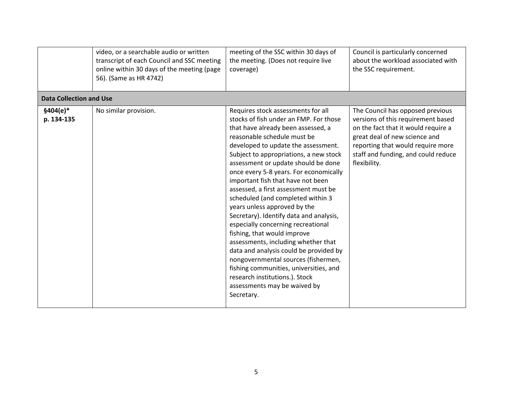|                                | video, or a searchable audio or written<br>transcript of each Council and SSC meeting<br>online within 30 days of the meeting (page<br>56). (Same as HR 4742) | meeting of the SSC within 30 days of<br>the meeting. (Does not require live<br>coverage)                                                                                                                                                                                                                                                                                                                                                                                                                                                                                                                                                                                                                                                                                                                                                | Council is particularly concerned<br>about the workload associated with<br>the SSC requirement.                                                                                                                                            |
|--------------------------------|---------------------------------------------------------------------------------------------------------------------------------------------------------------|-----------------------------------------------------------------------------------------------------------------------------------------------------------------------------------------------------------------------------------------------------------------------------------------------------------------------------------------------------------------------------------------------------------------------------------------------------------------------------------------------------------------------------------------------------------------------------------------------------------------------------------------------------------------------------------------------------------------------------------------------------------------------------------------------------------------------------------------|--------------------------------------------------------------------------------------------------------------------------------------------------------------------------------------------------------------------------------------------|
| <b>Data Collection and Use</b> |                                                                                                                                                               |                                                                                                                                                                                                                                                                                                                                                                                                                                                                                                                                                                                                                                                                                                                                                                                                                                         |                                                                                                                                                                                                                                            |
| $$404(e)*$<br>p. 134-135       | No similar provision.                                                                                                                                         | Requires stock assessments for all<br>stocks of fish under an FMP. For those<br>that have already been assessed, a<br>reasonable schedule must be<br>developed to update the assessment.<br>Subject to appropriations, a new stock<br>assessment or update should be done<br>once every 5-8 years. For economically<br>important fish that have not been<br>assessed, a first assessment must be<br>scheduled (and completed within 3<br>years unless approved by the<br>Secretary). Identify data and analysis,<br>especially concerning recreational<br>fishing, that would improve<br>assessments, including whether that<br>data and analysis could be provided by<br>nongovernmental sources (fishermen,<br>fishing communities, universities, and<br>research institutions.). Stock<br>assessments may be waived by<br>Secretary. | The Council has opposed previous<br>versions of this requirement based<br>on the fact that it would require a<br>great deal of new science and<br>reporting that would require more<br>staff and funding, and could reduce<br>flexibility. |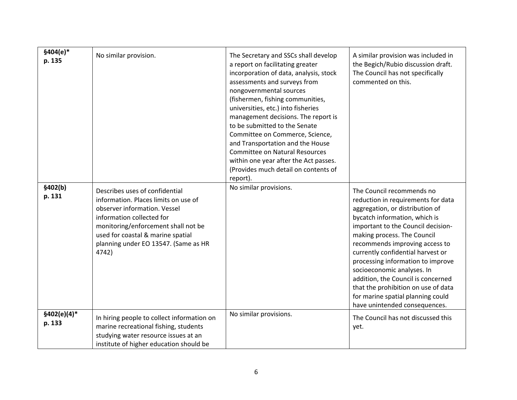| $$404(e)*$<br>p. 135    | No similar provision.                                                                                                                                                                                                                                            | The Secretary and SSCs shall develop<br>a report on facilitating greater<br>incorporation of data, analysis, stock<br>assessments and surveys from<br>nongovernmental sources<br>(fishermen, fishing communities,<br>universities, etc.) into fisheries<br>management decisions. The report is<br>to be submitted to the Senate<br>Committee on Commerce, Science,<br>and Transportation and the House<br><b>Committee on Natural Resources</b><br>within one year after the Act passes.<br>(Provides much detail on contents of<br>report). | A similar provision was included in<br>the Begich/Rubio discussion draft.<br>The Council has not specifically<br>commented on this.                                                                                                                                                                                                                                                                                                                                                                   |
|-------------------------|------------------------------------------------------------------------------------------------------------------------------------------------------------------------------------------------------------------------------------------------------------------|----------------------------------------------------------------------------------------------------------------------------------------------------------------------------------------------------------------------------------------------------------------------------------------------------------------------------------------------------------------------------------------------------------------------------------------------------------------------------------------------------------------------------------------------|-------------------------------------------------------------------------------------------------------------------------------------------------------------------------------------------------------------------------------------------------------------------------------------------------------------------------------------------------------------------------------------------------------------------------------------------------------------------------------------------------------|
| \$402(b)<br>p. 131      | Describes uses of confidential<br>information. Places limits on use of<br>observer information. Vessel<br>information collected for<br>monitoring/enforcement shall not be<br>used for coastal & marine spatial<br>planning under EO 13547. (Same as HR<br>4742) | No similar provisions.                                                                                                                                                                                                                                                                                                                                                                                                                                                                                                                       | The Council recommends no<br>reduction in requirements for data<br>aggregation, or distribution of<br>bycatch information, which is<br>important to the Council decision-<br>making process. The Council<br>recommends improving access to<br>currently confidential harvest or<br>processing information to improve<br>socioeconomic analyses. In<br>addition, the Council is concerned<br>that the prohibition on use of data<br>for marine spatial planning could<br>have unintended consequences. |
| $$402(e)(4)*$<br>p. 133 | In hiring people to collect information on<br>marine recreational fishing, students<br>studying water resource issues at an<br>institute of higher education should be                                                                                           | No similar provisions.                                                                                                                                                                                                                                                                                                                                                                                                                                                                                                                       | The Council has not discussed this<br>yet.                                                                                                                                                                                                                                                                                                                                                                                                                                                            |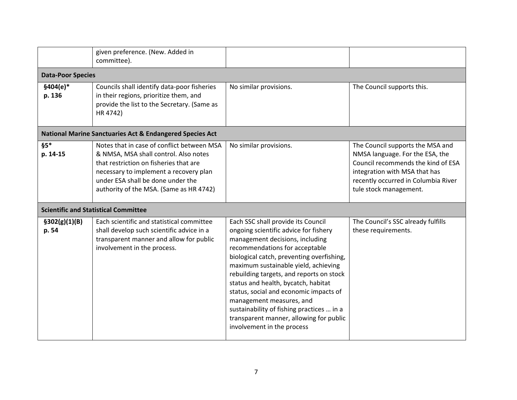|                          | given preference. (New. Added in<br>committee).                                                                                                                                                                                                         |                                                                                                                                                                                                                                                                                                                                                                                                                                                                                                                      |                                                                                                                                                                                                             |
|--------------------------|---------------------------------------------------------------------------------------------------------------------------------------------------------------------------------------------------------------------------------------------------------|----------------------------------------------------------------------------------------------------------------------------------------------------------------------------------------------------------------------------------------------------------------------------------------------------------------------------------------------------------------------------------------------------------------------------------------------------------------------------------------------------------------------|-------------------------------------------------------------------------------------------------------------------------------------------------------------------------------------------------------------|
| <b>Data-Poor Species</b> |                                                                                                                                                                                                                                                         |                                                                                                                                                                                                                                                                                                                                                                                                                                                                                                                      |                                                                                                                                                                                                             |
| $$404(e)*$<br>p. 136     | Councils shall identify data-poor fisheries<br>in their regions, prioritize them, and<br>provide the list to the Secretary. (Same as<br>HR 4742)                                                                                                        | No similar provisions.                                                                                                                                                                                                                                                                                                                                                                                                                                                                                               | The Council supports this.                                                                                                                                                                                  |
|                          | <b>National Marine Sanctuaries Act &amp; Endangered Species Act</b>                                                                                                                                                                                     |                                                                                                                                                                                                                                                                                                                                                                                                                                                                                                                      |                                                                                                                                                                                                             |
| $§5*$<br>p. 14-15        | Notes that in case of conflict between MSA<br>& NMSA, MSA shall control. Also notes<br>that restriction on fisheries that are<br>necessary to implement a recovery plan<br>under ESA shall be done under the<br>authority of the MSA. (Same as HR 4742) | No similar provisions.                                                                                                                                                                                                                                                                                                                                                                                                                                                                                               | The Council supports the MSA and<br>NMSA language. For the ESA, the<br>Council recommends the kind of ESA<br>integration with MSA that has<br>recently occurred in Columbia River<br>tule stock management. |
|                          | <b>Scientific and Statistical Committee</b>                                                                                                                                                                                                             |                                                                                                                                                                                                                                                                                                                                                                                                                                                                                                                      |                                                                                                                                                                                                             |
| \$302(g)(1)(B)<br>p. 54  | Each scientific and statistical committee<br>shall develop such scientific advice in a<br>transparent manner and allow for public<br>involvement in the process.                                                                                        | Each SSC shall provide its Council<br>ongoing scientific advice for fishery<br>management decisions, including<br>recommendations for acceptable<br>biological catch, preventing overfishing,<br>maximum sustainable yield, achieving<br>rebuilding targets, and reports on stock<br>status and health, bycatch, habitat<br>status, social and economic impacts of<br>management measures, and<br>sustainability of fishing practices  in a<br>transparent manner, allowing for public<br>involvement in the process | The Council's SSC already fulfills<br>these requirements.                                                                                                                                                   |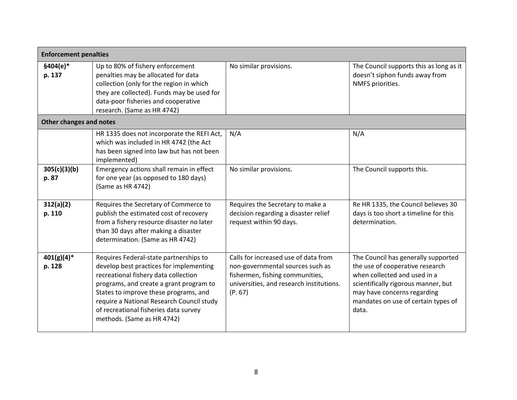| <b>Enforcement penalties</b>   |                                                                                                                                                                                                                                                                                                                                   |                                                                                                                                                                    |                                                                                                                                                                                                                              |
|--------------------------------|-----------------------------------------------------------------------------------------------------------------------------------------------------------------------------------------------------------------------------------------------------------------------------------------------------------------------------------|--------------------------------------------------------------------------------------------------------------------------------------------------------------------|------------------------------------------------------------------------------------------------------------------------------------------------------------------------------------------------------------------------------|
| $$404(e)*$<br>p. 137           | Up to 80% of fishery enforcement<br>penalties may be allocated for data<br>collection (only for the region in which<br>they are collected). Funds may be used for<br>data-poor fisheries and cooperative<br>research. (Same as HR 4742)                                                                                           | No similar provisions.                                                                                                                                             | The Council supports this as long as it<br>doesn't siphon funds away from<br>NMFS priorities.                                                                                                                                |
| <b>Other changes and notes</b> |                                                                                                                                                                                                                                                                                                                                   |                                                                                                                                                                    |                                                                                                                                                                                                                              |
|                                | HR 1335 does not incorporate the REFI Act,<br>which was included in HR 4742 (the Act<br>has been signed into law but has not been<br>implemented)                                                                                                                                                                                 | N/A                                                                                                                                                                | N/A                                                                                                                                                                                                                          |
| 305(c)(3)(b)<br>p. 87          | Emergency actions shall remain in effect<br>for one year (as opposed to 180 days)<br>(Same as HR 4742)                                                                                                                                                                                                                            | No similar provisions.                                                                                                                                             | The Council supports this.                                                                                                                                                                                                   |
| 312(a)(2)<br>p. 110            | Requires the Secretary of Commerce to<br>publish the estimated cost of recovery<br>from a fishery resource disaster no later<br>than 30 days after making a disaster<br>determination. (Same as HR 4742)                                                                                                                          | Requires the Secretary to make a<br>decision regarding a disaster relief<br>request within 90 days.                                                                | Re HR 1335, the Council believes 30<br>days is too short a timeline for this<br>determination.                                                                                                                               |
| $401(g)(4)^*$<br>p. 128        | Requires Federal-state partnerships to<br>develop best practices for implementing<br>recreational fishery data collection<br>programs, and create a grant program to<br>States to improve these programs, and<br>require a National Research Council study<br>of recreational fisheries data survey<br>methods. (Same as HR 4742) | Calls for increased use of data from<br>non-governmental sources such as<br>fishermen, fishing communities,<br>universities, and research institutions.<br>(P. 67) | The Council has generally supported<br>the use of cooperative research<br>when collected and used in a<br>scientifically rigorous manner, but<br>may have concerns regarding<br>mandates on use of certain types of<br>data. |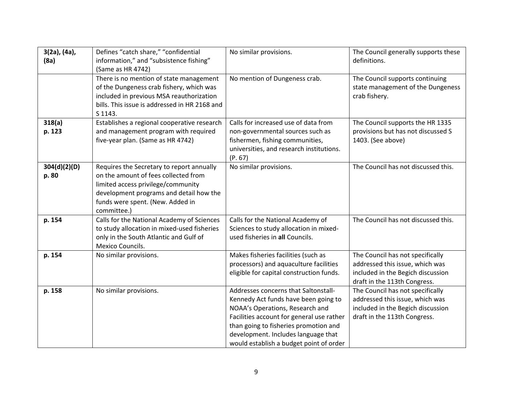| 3(2a), (4a),<br>(8a)  | Defines "catch share," "confidential<br>information," and "subsistence fishing"<br>(Same as HR 4742)                                                                                                                  | No similar provisions.                                                                                                                                                                                                                                                                  | The Council generally supports these<br>definitions.                                                                                     |
|-----------------------|-----------------------------------------------------------------------------------------------------------------------------------------------------------------------------------------------------------------------|-----------------------------------------------------------------------------------------------------------------------------------------------------------------------------------------------------------------------------------------------------------------------------------------|------------------------------------------------------------------------------------------------------------------------------------------|
|                       | There is no mention of state management<br>of the Dungeness crab fishery, which was<br>included in previous MSA reauthorization<br>bills. This issue is addressed in HR 2168 and<br>S 1143.                           | No mention of Dungeness crab.                                                                                                                                                                                                                                                           | The Council supports continuing<br>state management of the Dungeness<br>crab fishery.                                                    |
| 318(a)<br>p. 123      | Establishes a regional cooperative research<br>and management program with required<br>five-year plan. (Same as HR 4742)                                                                                              | Calls for increased use of data from<br>non-governmental sources such as<br>fishermen, fishing communities,<br>universities, and research institutions.<br>(P. 67)                                                                                                                      | The Council supports the HR 1335<br>provisions but has not discussed S<br>1403. (See above)                                              |
| 304(d)(2)(D)<br>p. 80 | Requires the Secretary to report annually<br>on the amount of fees collected from<br>limited access privilege/community<br>development programs and detail how the<br>funds were spent. (New. Added in<br>committee.) | No similar provisions.                                                                                                                                                                                                                                                                  | The Council has not discussed this.                                                                                                      |
| p. 154                | Calls for the National Academy of Sciences<br>to study allocation in mixed-used fisheries<br>only in the South Atlantic and Gulf of<br>Mexico Councils.                                                               | Calls for the National Academy of<br>Sciences to study allocation in mixed-<br>used fisheries in all Councils.                                                                                                                                                                          | The Council has not discussed this.                                                                                                      |
| p. 154                | No similar provisions.                                                                                                                                                                                                | Makes fisheries facilities (such as<br>processors) and aquaculture facilities<br>eligible for capital construction funds.                                                                                                                                                               | The Council has not specifically<br>addressed this issue, which was<br>included in the Begich discussion<br>draft in the 113th Congress. |
| p. 158                | No similar provisions.                                                                                                                                                                                                | Addresses concerns that Saltonstall-<br>Kennedy Act funds have been going to<br>NOAA's Operations, Research and<br>Facilities account for general use rather<br>than going to fisheries promotion and<br>development. Includes language that<br>would establish a budget point of order | The Council has not specifically<br>addressed this issue, which was<br>included in the Begich discussion<br>draft in the 113th Congress. |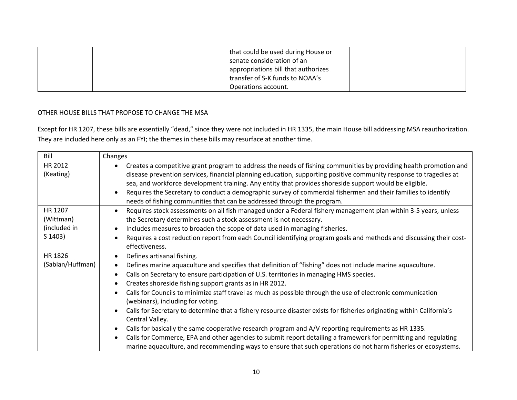|  | that could be used during House or  |  |
|--|-------------------------------------|--|
|  |                                     |  |
|  | senate consideration of an          |  |
|  | appropriations bill that authorizes |  |
|  | transfer of S-K funds to NOAA's     |  |
|  | Operations account.                 |  |

## OTHER HOUSE BILLS THAT PROPOSE TO CHANGE THE MSA

Except for HR 1207, these bills are essentially "dead," since they were not included in HR 1335, the main House bill addressing MSA reauthorization. They are included here only as an FYI; the themes in these bills may resurface at another time.

| Bill             | Changes                                                                                                                             |
|------------------|-------------------------------------------------------------------------------------------------------------------------------------|
| HR 2012          | Creates a competitive grant program to address the needs of fishing communities by providing health promotion and<br>$\bullet$      |
| (Keating)        | disease prevention services, financial planning education, supporting positive community response to tragedies at                   |
|                  | sea, and workforce development training. Any entity that provides shoreside support would be eligible.                              |
|                  | Requires the Secretary to conduct a demographic survey of commercial fishermen and their families to identify<br>$\bullet$          |
|                  | needs of fishing communities that can be addressed through the program.                                                             |
| HR 1207          | Requires stock assessments on all fish managed under a Federal fishery management plan within 3-5 years, unless<br>$\bullet$        |
| (Wittman)        | the Secretary determines such a stock assessment is not necessary.                                                                  |
| (included in     | Includes measures to broaden the scope of data used in managing fisheries.<br>$\bullet$                                             |
| S 1403)          | Requires a cost reduction report from each Council identifying program goals and methods and discussing their cost-<br>$\bullet$    |
|                  | effectiveness.                                                                                                                      |
| HR 1826          | Defines artisanal fishing.<br>$\bullet$                                                                                             |
| (Sablan/Huffman) | Defines marine aquaculture and specifies that definition of "fishing" does not include marine aquaculture.<br>$\bullet$             |
|                  | Calls on Secretary to ensure participation of U.S. territories in managing HMS species.<br>$\bullet$                                |
|                  | Creates shoreside fishing support grants as in HR 2012.<br>$\bullet$                                                                |
|                  | Calls for Councils to minimize staff travel as much as possible through the use of electronic communication<br>$\bullet$            |
|                  | (webinars), including for voting.                                                                                                   |
|                  | Calls for Secretary to determine that a fishery resource disaster exists for fisheries originating within California's<br>$\bullet$ |
|                  | Central Valley.                                                                                                                     |
|                  | Calls for basically the same cooperative research program and A/V reporting requirements as HR 1335.<br>$\bullet$                   |
|                  | Calls for Commerce, EPA and other agencies to submit report detailing a framework for permitting and regulating<br>$\bullet$        |
|                  | marine aquaculture, and recommending ways to ensure that such operations do not harm fisheries or ecosystems.                       |